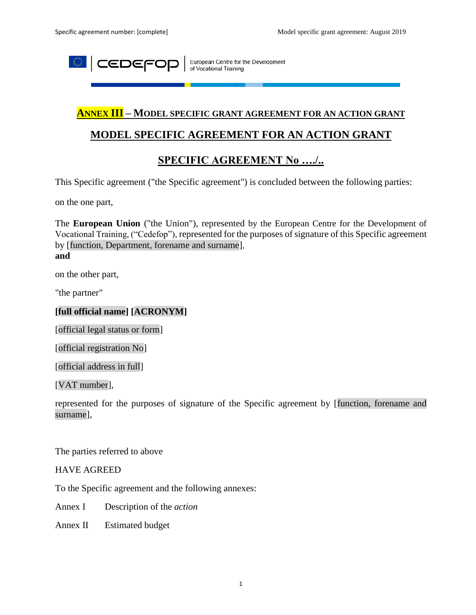

European Centre for the Development<br>of Vocational Training

#### **ANNEX III – MODEL SPECIFIC GRANT AGREEMENT FOR AN ACTION GRANT**

## **MODEL SPECIFIC AGREEMENT FOR AN ACTION GRANT**

## **SPECIFIC AGREEMENT No …./..**

This Specific agreement ("the Specific agreement") is concluded between the following parties:

on the one part,

The **European Union** ("the Union"), represented by the European Centre for the Development of Vocational Training, ("Cedefop"), represented for the purposes of signature of this Specific agreement by [function, Department, forename and surname],

# **and**

on the other part,

"the partner"

#### **[full official name] [ACRONYM]**

[official legal status or form]

[official registration No]

[official address in full]

[VAT number],

represented for the purposes of signature of the Specific agreement by [function, forename and surname],

The parties referred to above

HAVE AGREED

To the Specific agreement and the following annexes:

Annex I Description of the *action*

Annex II Estimated budget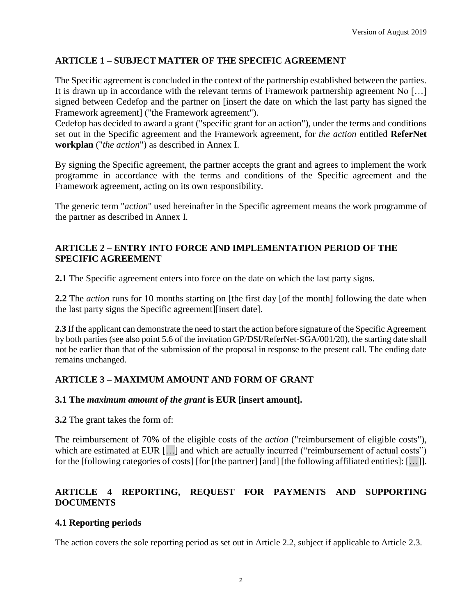## **ARTICLE 1 – SUBJECT MATTER OF THE SPECIFIC AGREEMENT**

The Specific agreement is concluded in the context of the partnership established between the parties. It is drawn up in accordance with the relevant terms of Framework partnership agreement No […] signed between Cedefop and the partner on [insert the date on which the last party has signed the Framework agreement] ("the Framework agreement").

Cedefop has decided to award a grant ("specific grant for an action"), under the terms and conditions set out in the Specific agreement and the Framework agreement, for *the action* entitled **ReferNet workplan** ("*the action*") as described in Annex I.

By signing the Specific agreement, the partner accepts the grant and agrees to implement the work programme in accordance with the terms and conditions of the Specific agreement and the Framework agreement, acting on its own responsibility.

The generic term "*action*" used hereinafter in the Specific agreement means the work programme of the partner as described in Annex I.

#### **ARTICLE 2 – ENTRY INTO FORCE AND IMPLEMENTATION PERIOD OF THE SPECIFIC AGREEMENT**

**2.1** The Specific agreement enters into force on the date on which the last party signs.

**2.2** The *action* runs for 10 months starting on [the first day [of the month] following the date when the last party signs the Specific agreement][insert date].

**2.3** If the applicant can demonstrate the need to start the action before signature of the Specific Agreement by both parties (see also point 5.6 of the invitation GP/DSI/ReferNet-SGA/001/20), the starting date shall not be earlier than that of the submission of the proposal in response to the present call. The ending date remains unchanged.

#### **ARTICLE 3 – MAXIMUM AMOUNT AND FORM OF GRANT**

#### **3.1 The** *maximum amount of the grant* **is EUR [insert amount].**

**3.2** The grant takes the form of:

The reimbursement of 70% of the eligible costs of the *action* ("reimbursement of eligible costs"), which are estimated at EUR [...] and which are actually incurred ("reimbursement of actual costs") for the [following categories of costs] [for [the partner] [and] [the following affiliated entities]: […]].

## **ARTICLE 4 REPORTING, REQUEST FOR PAYMENTS AND SUPPORTING DOCUMENTS**

#### **4.1 Reporting periods**

The action covers the sole reporting period as set out in Article 2.2, subject if applicable to Article 2.3.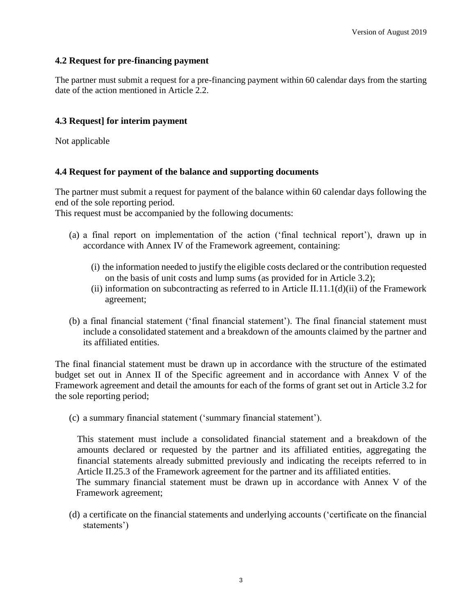### **4.2 Request for pre-financing payment**

The partner must submit a request for a pre-financing payment within 60 calendar days from the starting date of the action mentioned in Article 2.2.

### **4.3 Request] for interim payment**

Not applicable

#### **4.4 Request for payment of the balance and supporting documents**

The partner must submit a request for payment of the balance within 60 calendar days following the end of the sole reporting period.

This request must be accompanied by the following documents:

- (a) a final report on implementation of the action ('final technical report'), drawn up in accordance with Annex IV of the Framework agreement, containing:
	- (i) the information needed to justify the eligible costs declared or the contribution requested on the basis of unit costs and lump sums (as provided for in Article 3.2);
	- (ii) information on subcontracting as referred to in Article II.11.1(d)(ii) of the Framework agreement;
- (b) a final financial statement ('final financial statement'). The final financial statement must include a consolidated statement and a breakdown of the amounts claimed by the partner and its affiliated entities.

The final financial statement must be drawn up in accordance with the structure of the estimated budget set out in Annex II of the Specific agreement and in accordance with Annex V of the Framework agreement and detail the amounts for each of the forms of grant set out in Article 3.2 for the sole reporting period;

(c) a summary financial statement ('summary financial statement').

This statement must include a consolidated financial statement and a breakdown of the amounts declared or requested by the partner and its affiliated entities, aggregating the financial statements already submitted previously and indicating the receipts referred to in Article II.25.3 of the Framework agreement for the partner and its affiliated entities.

The summary financial statement must be drawn up in accordance with Annex V of the Framework agreement;

(d) a certificate on the financial statements and underlying accounts ('certificate on the financial statements')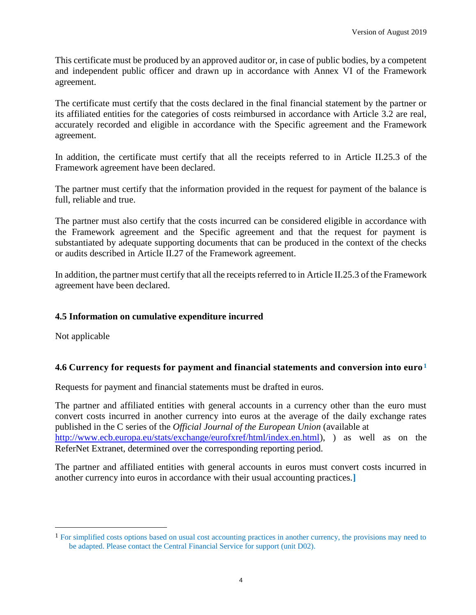This certificate must be produced by an approved auditor or, in case of public bodies, by a competent and independent public officer and drawn up in accordance with Annex VI of the Framework agreement.

The certificate must certify that the costs declared in the final financial statement by the partner or its affiliated entities for the categories of costs reimbursed in accordance with Article 3.2 are real, accurately recorded and eligible in accordance with the Specific agreement and the Framework agreement.

In addition, the certificate must certify that all the receipts referred to in Article II.25.3 of the Framework agreement have been declared.

The partner must certify that the information provided in the request for payment of the balance is full, reliable and true.

The partner must also certify that the costs incurred can be considered eligible in accordance with the Framework agreement and the Specific agreement and that the request for payment is substantiated by adequate supporting documents that can be produced in the context of the checks or audits described in Article II.27 of the Framework agreement.

In addition, the partner must certify that all the receipts referred to in Article II.25.3 of the Framework agreement have been declared.

#### **4.5 Information on cumulative expenditure incurred**

Not applicable

 $\overline{a}$ 

#### **4.6 Currency for requests for payment and financial statements and conversion into euro<sup>1</sup>**

Requests for payment and financial statements must be drafted in euros.

The partner and affiliated entities with general accounts in a currency other than the euro must convert costs incurred in another currency into euros at the average of the daily exchange rates published in the C series of the *Official Journal of the European Union* (available at [http://www.ecb.europa.eu/stats/exchange/eurofxref/html/index.en.html\)](http://www.ecb.europa.eu/stats/exchange/eurofxref/html/index.en.html), ) as well as on the ReferNet Extranet, determined over the corresponding reporting period.

The partner and affiliated entities with general accounts in euros must convert costs incurred in another currency into euros in accordance with their usual accounting practices.**]**

<sup>&</sup>lt;sup>1</sup> For simplified costs options based on usual cost accounting practices in another currency, the provisions may need to be adapted. Please contact the Central Financial Service for support (unit D02).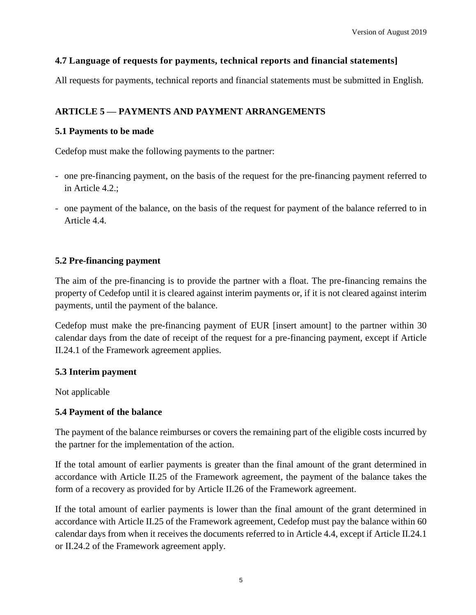## **4.7 Language of requests for payments, technical reports and financial statements]**

All requests for payments, technical reports and financial statements must be submitted in English.

## **ARTICLE 5 — PAYMENTS AND PAYMENT ARRANGEMENTS**

#### **5.1 Payments to be made**

Cedefop must make the following payments to the partner:

- one pre-financing payment, on the basis of the request for the pre-financing payment referred to in Article 4.2.;
- one payment of the balance, on the basis of the request for payment of the balance referred to in Article 4.4.

#### **5.2 Pre-financing payment**

The aim of the pre-financing is to provide the partner with a float. The pre-financing remains the property of Cedefop until it is cleared against interim payments or, if it is not cleared against interim payments, until the payment of the balance.

Cedefop must make the pre-financing payment of EUR [insert amount] to the partner within 30 calendar days from the date of receipt of the request for a pre-financing payment, except if Article II.24.1 of the Framework agreement applies.

#### **5.3 Interim payment**

Not applicable

#### **5.4 Payment of the balance**

The payment of the balance reimburses or covers the remaining part of the eligible costs incurred by the partner for the implementation of the action.

If the total amount of earlier payments is greater than the final amount of the grant determined in accordance with Article II.25 of the Framework agreement, the payment of the balance takes the form of a recovery as provided for by Article II.26 of the Framework agreement.

If the total amount of earlier payments is lower than the final amount of the grant determined in accordance with Article II.25 of the Framework agreement, Cedefop must pay the balance within 60 calendar days from when it receives the documents referred to in Article 4.4, except if Article II.24.1 or II.24.2 of the Framework agreement apply.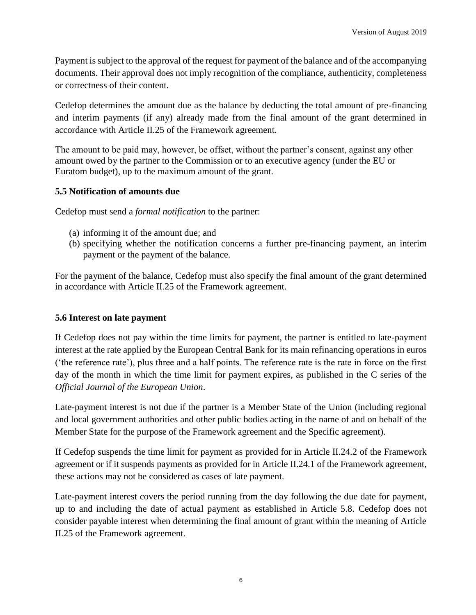Payment is subject to the approval of the request for payment of the balance and of the accompanying documents. Their approval does not imply recognition of the compliance, authenticity, completeness or correctness of their content.

Cedefop determines the amount due as the balance by deducting the total amount of pre-financing and interim payments (if any) already made from the final amount of the grant determined in accordance with Article II.25 of the Framework agreement.

The amount to be paid may, however, be offset, without the partner's consent, against any other amount owed by the partner to the Commission or to an executive agency (under the EU or Euratom budget), up to the maximum amount of the grant.

#### **5.5 Notification of amounts due**

Cedefop must send a *formal notification* to the partner:

- (a) informing it of the amount due; and
- (b) specifying whether the notification concerns a further pre-financing payment, an interim payment or the payment of the balance.

For the payment of the balance, Cedefop must also specify the final amount of the grant determined in accordance with Article II.25 of the Framework agreement.

#### **5.6 Interest on late payment**

If Cedefop does not pay within the time limits for payment, the partner is entitled to late-payment interest at the rate applied by the European Central Bank for its main refinancing operations in euros ('the reference rate'), plus three and a half points. The reference rate is the rate in force on the first day of the month in which the time limit for payment expires, as published in the C series of the *Official Journal of the European Union*.

Late-payment interest is not due if the partner is a Member State of the Union (including regional and local government authorities and other public bodies acting in the name of and on behalf of the Member State for the purpose of the Framework agreement and the Specific agreement).

If Cedefop suspends the time limit for payment as provided for in Article II.24.2 of the Framework agreement or if it suspends payments as provided for in Article II.24.1 of the Framework agreement, these actions may not be considered as cases of late payment.

Late-payment interest covers the period running from the day following the due date for payment, up to and including the date of actual payment as established in Article 5.8. Cedefop does not consider payable interest when determining the final amount of grant within the meaning of Article II.25 of the Framework agreement.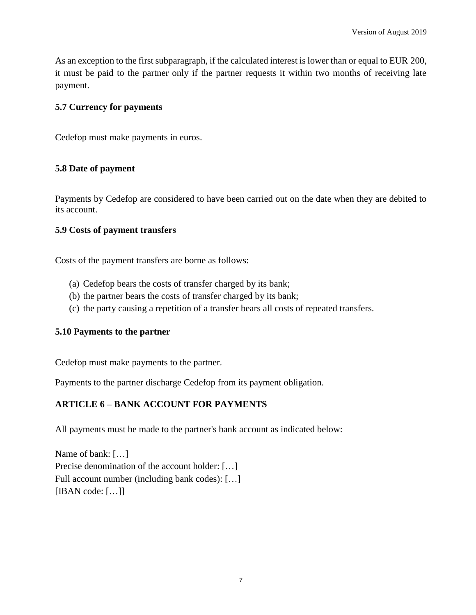As an exception to the first subparagraph, if the calculated interest is lower than or equal to EUR 200, it must be paid to the partner only if the partner requests it within two months of receiving late payment.

## **5.7 Currency for payments**

Cedefop must make payments in euros.

## **5.8 Date of payment**

Payments by Cedefop are considered to have been carried out on the date when they are debited to its account.

## **5.9 Costs of payment transfers**

Costs of the payment transfers are borne as follows:

- (a) Cedefop bears the costs of transfer charged by its bank;
- (b) the partner bears the costs of transfer charged by its bank;
- (c) the party causing a repetition of a transfer bears all costs of repeated transfers.

#### **5.10 Payments to the partner**

Cedefop must make payments to the partner.

Payments to the partner discharge Cedefop from its payment obligation.

## **ARTICLE 6 – BANK ACCOUNT FOR PAYMENTS**

All payments must be made to the partner's bank account as indicated below:

Name of bank: […] Precise denomination of the account holder: […] Full account number (including bank codes): […] [IBAN code: […]]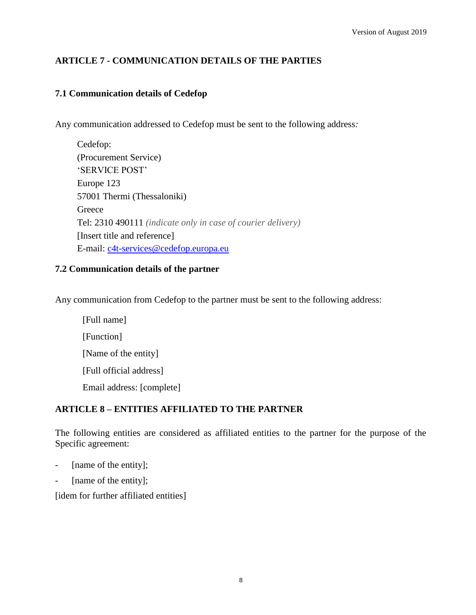## **ARTICLE 7 - COMMUNICATION DETAILS OF THE PARTIES**

# **7.1 Communication details of Cedefop**

Any communication addressed to Cedefop must be sent to the following address*:*

| Cedefop:                                                     |
|--------------------------------------------------------------|
| (Procurement Service)                                        |
| 'SERVICE POST'                                               |
| Europe 123                                                   |
| 57001 Thermi (Thessaloniki)                                  |
| Greece                                                       |
| Tel: 2310 490111 (indicate only in case of courier delivery) |
| [Insert title and reference]                                 |
| E-mail: c4t-services@cedefop.europa.eu                       |

#### **7.2 Communication details of the partner**

Any communication from Cedefop to the partner must be sent to the following address:

[Full name] [Function] [Name of the entity] [Full official address] Email address: [complete]

## **ARTICLE 8 – ENTITIES AFFILIATED TO THE PARTNER**

The following entities are considered as affiliated entities to the partner for the purpose of the Specific agreement:

- [name of the entity];
- [name of the entity];

[idem for further affiliated entities]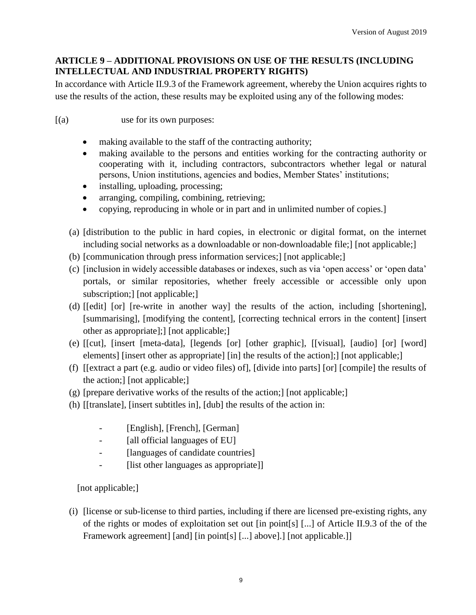## **ARTICLE 9 – ADDITIONAL PROVISIONS ON USE OF THE RESULTS (INCLUDING INTELLECTUAL AND INDUSTRIAL PROPERTY RIGHTS)**

In accordance with Article II.9.3 of the Framework agreement, whereby the Union acquires rights to use the results of the action, these results may be exploited using any of the following modes:

[(a) use for its own purposes:

- making available to the staff of the contracting authority;
- making available to the persons and entities working for the contracting authority or cooperating with it, including contractors, subcontractors whether legal or natural persons, Union institutions, agencies and bodies, Member States' institutions;
- installing, uploading, processing;
- arranging, compiling, combining, retrieving;
- copying, reproducing in whole or in part and in unlimited number of copies.]
- (a) [distribution to the public in hard copies, in electronic or digital format, on the internet including social networks as a downloadable or non-downloadable file;] [not applicable;]
- (b) [communication through press information services;] [not applicable;]
- (c) [inclusion in widely accessible databases or indexes, such as via 'open access' or 'open data' portals, or similar repositories, whether freely accessible or accessible only upon subscription;] [not applicable;]
- (d) [[edit] [or] [re-write in another way] the results of the action, including [shortening], [summarising], [modifying the content], [correcting technical errors in the content] [insert other as appropriate];] [not applicable;]
- (e) [[cut], [insert [meta-data], [legends [or] [other graphic], [[visual], [audio] [or] [word] elements] [insert other as appropriate] [in] the results of the action];] [not applicable;]
- (f) [[extract a part (e.g. audio or video files) of], [divide into parts] [or] [compile] the results of the action;] [not applicable;]
- (g) [prepare derivative works of the results of the action;] [not applicable;]
- (h) [[translate], [insert subtitles in], [dub] the results of the action in:
	- [English], [French], [German]
	- [all official languages of EU]
	- [languages of candidate countries]
	- [list other languages as appropriate]]

[not applicable;]

(i) [license or sub-license to third parties, including if there are licensed pre-existing rights, any of the rights or modes of exploitation set out [in point[s] [...] of Article II.9.3 of the of the Framework agreement] [and] [in point[s] [...] above].] [not applicable.]]